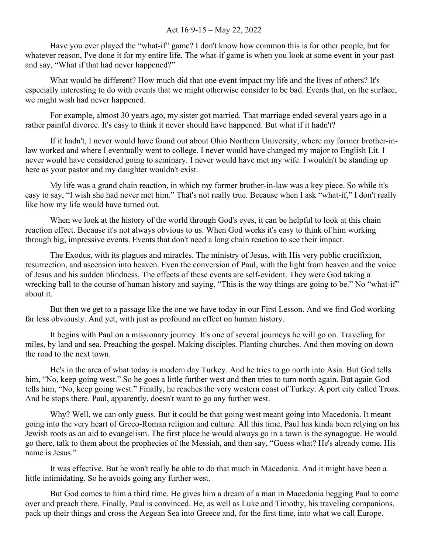## Act 16:9-15 – May 22, 2022

Have you ever played the "what-if" game? I don't know how common this is for other people, but for whatever reason, I've done it for my entire life. The what-if game is when you look at some event in your past and say, "What if that had never happened?"

What would be different? How much did that one event impact my life and the lives of others? It's especially interesting to do with events that we might otherwise consider to be bad. Events that, on the surface, we might wish had never happened.

For example, almost 30 years ago, my sister got married. That marriage ended several years ago in a rather painful divorce. It's easy to think it never should have happened. But what if it hadn't?

If it hadn't, I never would have found out about Ohio Northern University, where my former brother-inlaw worked and where I eventually went to college. I never would have changed my major to English Lit. I never would have considered going to seminary. I never would have met my wife. I wouldn't be standing up here as your pastor and my daughter wouldn't exist.

My life was a grand chain reaction, in which my former brother-in-law was a key piece. So while it's easy to say, "I wish she had never met him." That's not really true. Because when I ask "what-if," I don't really like how my life would have turned out.

When we look at the history of the world through God's eyes, it can be helpful to look at this chain reaction effect. Because it's not always obvious to us. When God works it's easy to think of him working through big, impressive events. Events that don't need a long chain reaction to see their impact.

The Exodus, with its plagues and miracles. The ministry of Jesus, with His very public crucifixion, resurrection, and ascension into heaven. Even the conversion of Paul, with the light from heaven and the voice of Jesus and his sudden blindness. The effects of these events are self-evident. They were God taking a wrecking ball to the course of human history and saying, "This is the way things are going to be." No "what-if" about it.

But then we get to a passage like the one we have today in our First Lesson. And we find God working far less obviously. And yet, with just as profound an effect on human history.

It begins with Paul on a missionary journey. It's one of several journeys he will go on. Traveling for miles, by land and sea. Preaching the gospel. Making disciples. Planting churches. And then moving on down the road to the next town.

He's in the area of what today is modern day Turkey. And he tries to go north into Asia. But God tells him, "No, keep going west." So he goes a little further west and then tries to turn north again. But again God tells him, "No, keep going west." Finally, he reaches the very western coast of Turkey. A port city called Troas. And he stops there. Paul, apparently, doesn't want to go any further west.

Why? Well, we can only guess. But it could be that going west meant going into Macedonia. It meant going into the very heart of Greco-Roman religion and culture. All this time, Paul has kinda been relying on his Jewish roots as an aid to evangelism. The first place he would always go in a town is the synagogue. He would go there, talk to them about the prophecies of the Messiah, and then say, "Guess what? He's already come. His name is Jesus."

It was effective. But he won't really be able to do that much in Macedonia. And it might have been a little intimidating. So he avoids going any further west.

But God comes to him a third time. He gives him a dream of a man in Macedonia begging Paul to come over and preach there. Finally, Paul is convinced. He, as well as Luke and Timothy, his traveling companions, pack up their things and cross the Aegean Sea into Greece and, for the first time, into what we call Europe.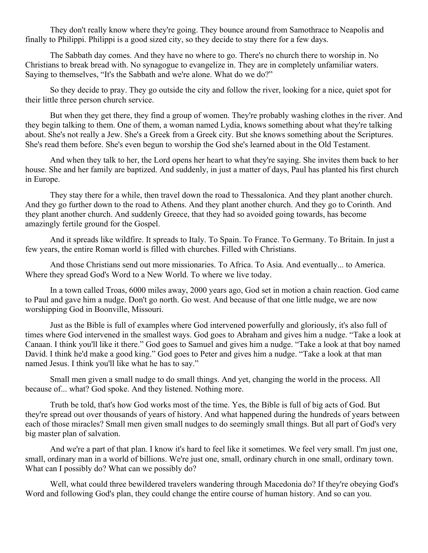They don't really know where they're going. They bounce around from Samothrace to Neapolis and finally to Philippi. Philippi is a good sized city, so they decide to stay there for a few days.

The Sabbath day comes. And they have no where to go. There's no church there to worship in. No Christians to break bread with. No synagogue to evangelize in. They are in completely unfamiliar waters. Saying to themselves, "It's the Sabbath and we're alone. What do we do?"

So they decide to pray. They go outside the city and follow the river, looking for a nice, quiet spot for their little three person church service.

But when they get there, they find a group of women. They're probably washing clothes in the river. And they begin talking to them. One of them, a woman named Lydia, knows something about what they're talking about. She's not really a Jew. She's a Greek from a Greek city. But she knows something about the Scriptures. She's read them before. She's even begun to worship the God she's learned about in the Old Testament.

And when they talk to her, the Lord opens her heart to what they're saying. She invites them back to her house. She and her family are baptized. And suddenly, in just a matter of days, Paul has planted his first church in Europe.

They stay there for a while, then travel down the road to Thessalonica. And they plant another church. And they go further down to the road to Athens. And they plant another church. And they go to Corinth. And they plant another church. And suddenly Greece, that they had so avoided going towards, has become amazingly fertile ground for the Gospel.

And it spreads like wildfire. It spreads to Italy. To Spain. To France. To Germany. To Britain. In just a few years, the entire Roman world is filled with churches. Filled with Christians.

And those Christians send out more missionaries. To Africa. To Asia. And eventually... to America. Where they spread God's Word to a New World. To where we live today.

In a town called Troas, 6000 miles away, 2000 years ago, God set in motion a chain reaction. God came to Paul and gave him a nudge. Don't go north. Go west. And because of that one little nudge, we are now worshipping God in Boonville, Missouri.

Just as the Bible is full of examples where God intervened powerfully and gloriously, it's also full of times where God intervened in the smallest ways. God goes to Abraham and gives him a nudge. "Take a look at Canaan. I think you'll like it there." God goes to Samuel and gives him a nudge. "Take a look at that boy named David. I think he'd make a good king." God goes to Peter and gives him a nudge. "Take a look at that man named Jesus. I think you'll like what he has to say."

Small men given a small nudge to do small things. And yet, changing the world in the process. All because of... what? God spoke. And they listened. Nothing more.

Truth be told, that's how God works most of the time. Yes, the Bible is full of big acts of God. But they're spread out over thousands of years of history. And what happened during the hundreds of years between each of those miracles? Small men given small nudges to do seemingly small things. But all part of God's very big master plan of salvation.

And we're a part of that plan. I know it's hard to feel like it sometimes. We feel very small. I'm just one, small, ordinary man in a world of billions. We're just one, small, ordinary church in one small, ordinary town. What can I possibly do? What can we possibly do?

Well, what could three bewildered travelers wandering through Macedonia do? If they're obeying God's Word and following God's plan, they could change the entire course of human history. And so can you.